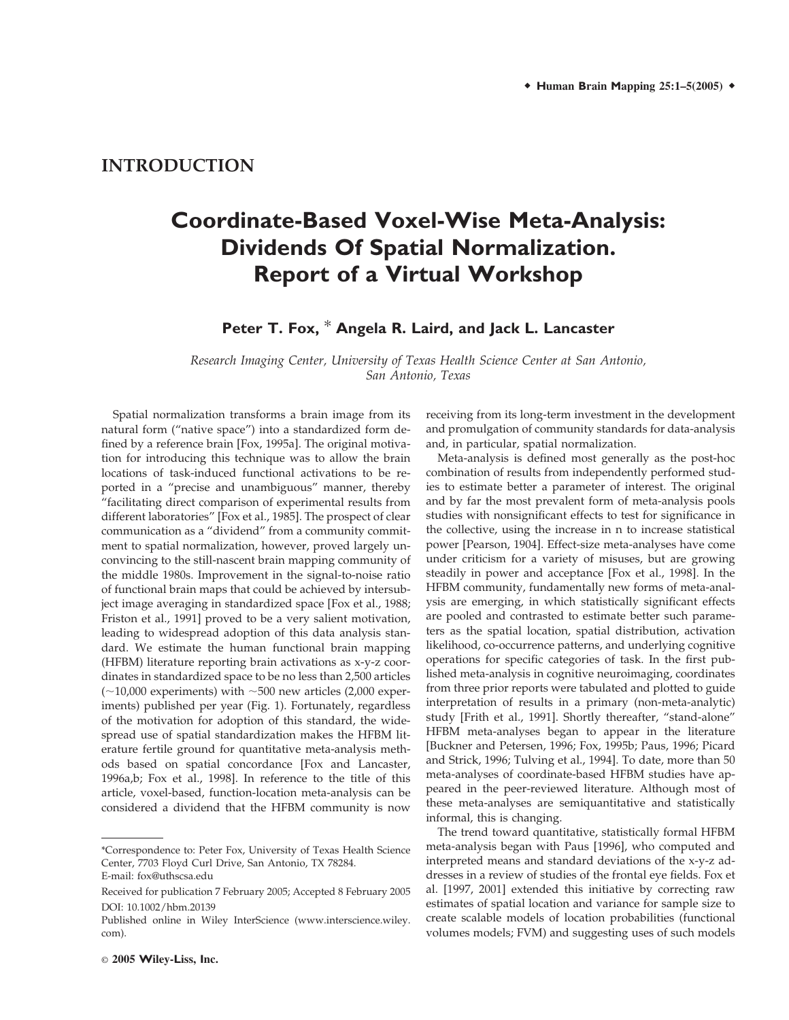## **INTRODUCTION**

# **Coordinate-Based Voxel-Wise Meta-Analysis: Dividends Of Spatial Normalization. Report of a Virtual Workshop**

## **Peter T. Fox,** \* **Angela R. Laird, and Jack L. Lancaster**

*Research Imaging Center, University of Texas Health Science Center at San Antonio, San Antonio, Texas*

Spatial normalization transforms a brain image from its natural form ("native space") into a standardized form defined by a reference brain [Fox, 1995a]. The original motivation for introducing this technique was to allow the brain locations of task-induced functional activations to be reported in a "precise and unambiguous" manner, thereby "facilitating direct comparison of experimental results from different laboratories" [Fox et al., 1985]. The prospect of clear communication as a "dividend" from a community commitment to spatial normalization, however, proved largely unconvincing to the still-nascent brain mapping community of the middle 1980s. Improvement in the signal-to-noise ratio of functional brain maps that could be achieved by intersubject image averaging in standardized space [Fox et al., 1988; Friston et al., 1991] proved to be a very salient motivation, leading to widespread adoption of this data analysis standard. We estimate the human functional brain mapping (HFBM) literature reporting brain activations as x-y-z coordinates in standardized space to be no less than 2,500 articles  $(-10,000$  experiments) with  $\sim$  500 new articles (2,000 experiments) published per year (Fig. 1). Fortunately, regardless of the motivation for adoption of this standard, the widespread use of spatial standardization makes the HFBM literature fertile ground for quantitative meta-analysis methods based on spatial concordance [Fox and Lancaster, 1996a,b; Fox et al., 1998]. In reference to the title of this article, voxel-based, function-location meta-analysis can be considered a dividend that the HFBM community is now

receiving from its long-term investment in the development and promulgation of community standards for data-analysis and, in particular, spatial normalization.

Meta-analysis is defined most generally as the post-hoc combination of results from independently performed studies to estimate better a parameter of interest. The original and by far the most prevalent form of meta-analysis pools studies with nonsignificant effects to test for significance in the collective, using the increase in n to increase statistical power [Pearson, 1904]. Effect-size meta-analyses have come under criticism for a variety of misuses, but are growing steadily in power and acceptance [Fox et al., 1998]. In the HFBM community, fundamentally new forms of meta-analysis are emerging, in which statistically significant effects are pooled and contrasted to estimate better such parameters as the spatial location, spatial distribution, activation likelihood, co-occurrence patterns, and underlying cognitive operations for specific categories of task. In the first published meta-analysis in cognitive neuroimaging, coordinates from three prior reports were tabulated and plotted to guide interpretation of results in a primary (non-meta-analytic) study [Frith et al., 1991]. Shortly thereafter, "stand-alone" HFBM meta-analyses began to appear in the literature [Buckner and Petersen, 1996; Fox, 1995b; Paus, 1996; Picard and Strick, 1996; Tulving et al., 1994]. To date, more than 50 meta-analyses of coordinate-based HFBM studies have appeared in the peer-reviewed literature. Although most of these meta-analyses are semiquantitative and statistically informal, this is changing.

The trend toward quantitative, statistically formal HFBM meta-analysis began with Paus [1996], who computed and interpreted means and standard deviations of the x-y-z addresses in a review of studies of the frontal eye fields. Fox et al. [1997, 2001] extended this initiative by correcting raw estimates of spatial location and variance for sample size to create scalable models of location probabilities (functional volumes models; FVM) and suggesting uses of such models

<sup>\*</sup>Correspondence to: Peter Fox, University of Texas Health Science Center, 7703 Floyd Curl Drive, San Antonio, TX 78284. E-mail: fox@uthscsa.edu

Received for publication 7 February 2005; Accepted 8 February 2005 DOI: 10.1002/hbm.20139

Published online in Wiley InterScience (www.interscience.wiley. com).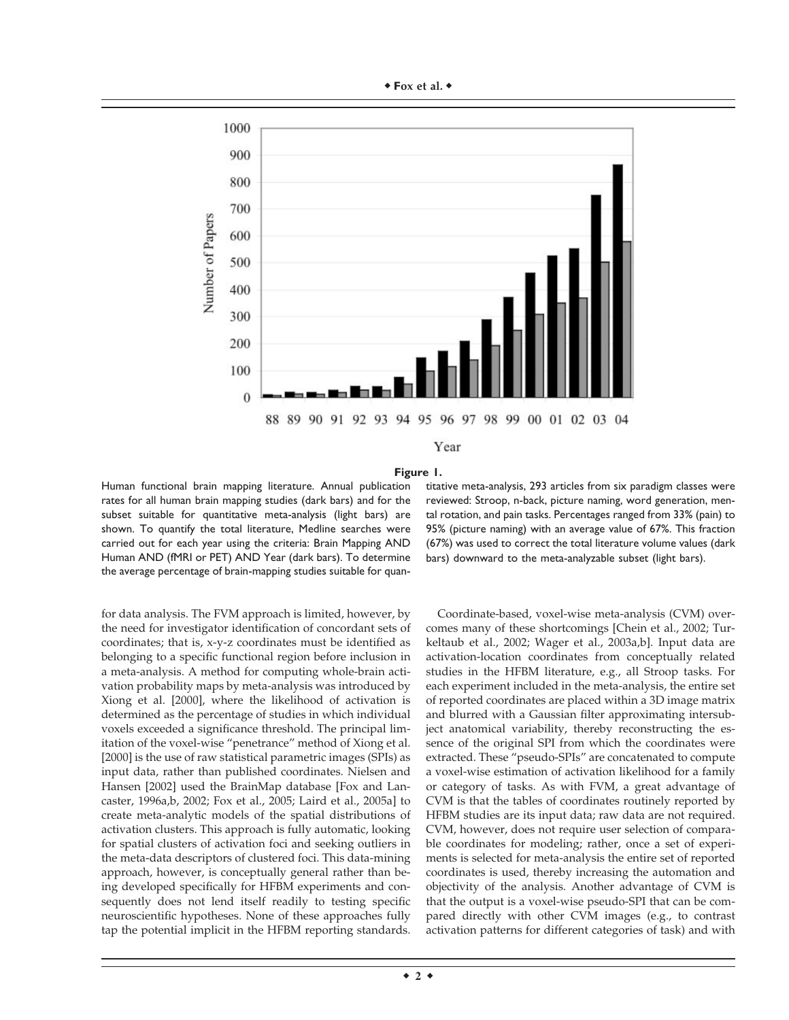

#### **Figure 1.**

Human functional brain mapping literature. Annual publication rates for all human brain mapping studies (dark bars) and for the subset suitable for quantitative meta-analysis (light bars) are shown. To quantify the total literature, Medline searches were carried out for each year using the criteria: Brain Mapping AND Human AND (fMRI or PET) AND Year (dark bars). To determine the average percentage of brain-mapping studies suitable for quan-

for data analysis. The FVM approach is limited, however, by the need for investigator identification of concordant sets of coordinates; that is, x-y-z coordinates must be identified as belonging to a specific functional region before inclusion in a meta-analysis. A method for computing whole-brain activation probability maps by meta-analysis was introduced by Xiong et al. [2000], where the likelihood of activation is determined as the percentage of studies in which individual voxels exceeded a significance threshold. The principal limitation of the voxel-wise "penetrance" method of Xiong et al. [2000] is the use of raw statistical parametric images (SPIs) as input data, rather than published coordinates. Nielsen and Hansen [2002] used the BrainMap database [Fox and Lancaster, 1996a,b, 2002; Fox et al., 2005; Laird et al., 2005a] to create meta-analytic models of the spatial distributions of activation clusters. This approach is fully automatic, looking for spatial clusters of activation foci and seeking outliers in the meta-data descriptors of clustered foci. This data-mining approach, however, is conceptually general rather than being developed specifically for HFBM experiments and consequently does not lend itself readily to testing specific neuroscientific hypotheses. None of these approaches fully tap the potential implicit in the HFBM reporting standards.

titative meta-analysis, 293 articles from six paradigm classes were reviewed: Stroop, n-back, picture naming, word generation, mental rotation, and pain tasks. Percentages ranged from 33% (pain) to 95% (picture naming) with an average value of 67%. This fraction (67%) was used to correct the total literature volume values (dark bars) downward to the meta-analyzable subset (light bars).

Coordinate-based, voxel-wise meta-analysis (CVM) overcomes many of these shortcomings [Chein et al., 2002; Turkeltaub et al., 2002; Wager et al., 2003a,b]. Input data are activation-location coordinates from conceptually related studies in the HFBM literature, e.g., all Stroop tasks. For each experiment included in the meta-analysis, the entire set of reported coordinates are placed within a 3D image matrix and blurred with a Gaussian filter approximating intersubject anatomical variability, thereby reconstructing the essence of the original SPI from which the coordinates were extracted. These "pseudo-SPIs" are concatenated to compute a voxel-wise estimation of activation likelihood for a family or category of tasks. As with FVM, a great advantage of CVM is that the tables of coordinates routinely reported by HFBM studies are its input data; raw data are not required. CVM, however, does not require user selection of comparable coordinates for modeling; rather, once a set of experiments is selected for meta-analysis the entire set of reported coordinates is used, thereby increasing the automation and objectivity of the analysis. Another advantage of CVM is that the output is a voxel-wise pseudo-SPI that can be compared directly with other CVM images (e.g., to contrast activation patterns for different categories of task) and with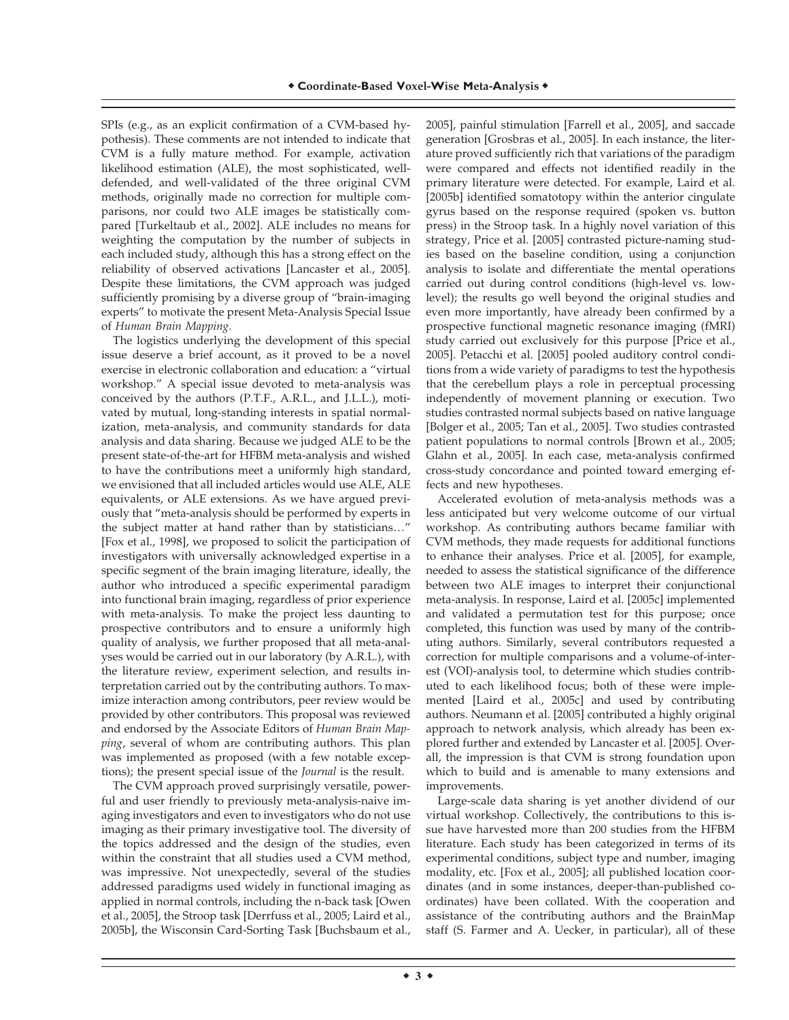SPIs (e.g., as an explicit confirmation of a CVM-based hypothesis). These comments are not intended to indicate that CVM is a fully mature method. For example, activation likelihood estimation (ALE), the most sophisticated, welldefended, and well-validated of the three original CVM methods, originally made no correction for multiple comparisons, nor could two ALE images be statistically compared [Turkeltaub et al., 2002]. ALE includes no means for weighting the computation by the number of subjects in each included study, although this has a strong effect on the reliability of observed activations [Lancaster et al., 2005]. Despite these limitations, the CVM approach was judged sufficiently promising by a diverse group of "brain-imaging experts" to motivate the present Meta-Analysis Special Issue of *Human Brain Mapping*.

The logistics underlying the development of this special issue deserve a brief account, as it proved to be a novel exercise in electronic collaboration and education: a "virtual workshop." A special issue devoted to meta-analysis was conceived by the authors (P.T.F., A.R.L., and J.L.L.), motivated by mutual, long-standing interests in spatial normalization, meta-analysis, and community standards for data analysis and data sharing. Because we judged ALE to be the present state-of-the-art for HFBM meta-analysis and wished to have the contributions meet a uniformly high standard, we envisioned that all included articles would use ALE, ALE equivalents, or ALE extensions. As we have argued previously that "meta-analysis should be performed by experts in the subject matter at hand rather than by statisticians…" [Fox et al., 1998], we proposed to solicit the participation of investigators with universally acknowledged expertise in a specific segment of the brain imaging literature, ideally, the author who introduced a specific experimental paradigm into functional brain imaging, regardless of prior experience with meta-analysis. To make the project less daunting to prospective contributors and to ensure a uniformly high quality of analysis, we further proposed that all meta-analyses would be carried out in our laboratory (by A.R.L.), with the literature review, experiment selection, and results interpretation carried out by the contributing authors. To maximize interaction among contributors, peer review would be provided by other contributors. This proposal was reviewed and endorsed by the Associate Editors of *Human Brain Mapping*, several of whom are contributing authors. This plan was implemented as proposed (with a few notable exceptions); the present special issue of the *Journal* is the result.

The CVM approach proved surprisingly versatile, powerful and user friendly to previously meta-analysis-naive imaging investigators and even to investigators who do not use imaging as their primary investigative tool. The diversity of the topics addressed and the design of the studies, even within the constraint that all studies used a CVM method, was impressive. Not unexpectedly, several of the studies addressed paradigms used widely in functional imaging as applied in normal controls, including the n-back task [Owen et al., 2005], the Stroop task [Derrfuss et al., 2005; Laird et al., 2005b], the Wisconsin Card-Sorting Task [Buchsbaum et al., 2005], painful stimulation [Farrell et al., 2005], and saccade generation [Grosbras et al., 2005]. In each instance, the literature proved sufficiently rich that variations of the paradigm were compared and effects not identified readily in the primary literature were detected. For example, Laird et al. [2005b] identified somatotopy within the anterior cingulate gyrus based on the response required (spoken vs. button press) in the Stroop task. In a highly novel variation of this strategy, Price et al. [2005] contrasted picture-naming studies based on the baseline condition, using a conjunction analysis to isolate and differentiate the mental operations carried out during control conditions (high-level vs. lowlevel); the results go well beyond the original studies and even more importantly, have already been confirmed by a prospective functional magnetic resonance imaging (fMRI) study carried out exclusively for this purpose [Price et al., 2005]. Petacchi et al. [2005] pooled auditory control conditions from a wide variety of paradigms to test the hypothesis that the cerebellum plays a role in perceptual processing independently of movement planning or execution. Two studies contrasted normal subjects based on native language [Bolger et al., 2005; Tan et al., 2005]. Two studies contrasted patient populations to normal controls [Brown et al., 2005; Glahn et al., 2005]. In each case, meta-analysis confirmed cross-study concordance and pointed toward emerging effects and new hypotheses.

Accelerated evolution of meta-analysis methods was a less anticipated but very welcome outcome of our virtual workshop. As contributing authors became familiar with CVM methods, they made requests for additional functions to enhance their analyses. Price et al. [2005], for example, needed to assess the statistical significance of the difference between two ALE images to interpret their conjunctional meta-analysis. In response, Laird et al. [2005c] implemented and validated a permutation test for this purpose; once completed, this function was used by many of the contributing authors. Similarly, several contributors requested a correction for multiple comparisons and a volume-of-interest (VOI)-analysis tool, to determine which studies contributed to each likelihood focus; both of these were implemented [Laird et al., 2005c] and used by contributing authors. Neumann et al. [2005] contributed a highly original approach to network analysis, which already has been explored further and extended by Lancaster et al. [2005]. Overall, the impression is that CVM is strong foundation upon which to build and is amenable to many extensions and improvements.

Large-scale data sharing is yet another dividend of our virtual workshop. Collectively, the contributions to this issue have harvested more than 200 studies from the HFBM literature. Each study has been categorized in terms of its experimental conditions, subject type and number, imaging modality, etc. [Fox et al., 2005]; all published location coordinates (and in some instances, deeper-than-published coordinates) have been collated. With the cooperation and assistance of the contributing authors and the BrainMap staff (S. Farmer and A. Uecker, in particular), all of these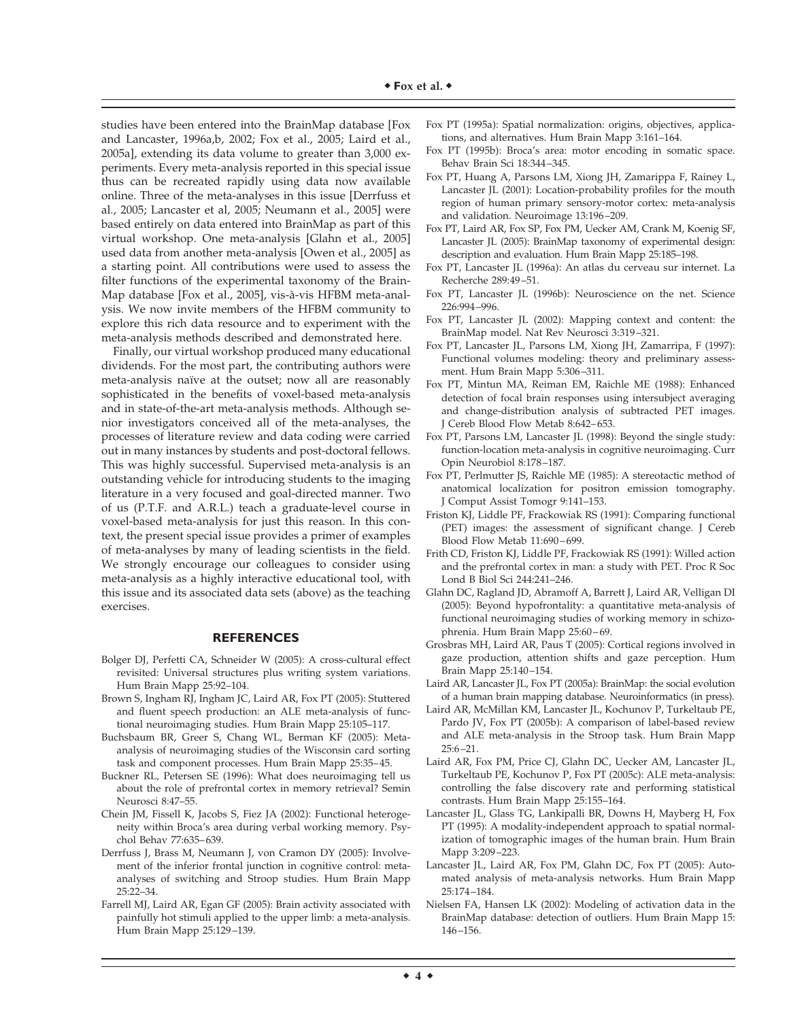studies have been entered into the BrainMap database [Fox and Lancaster, 1996a,b, 2002; Fox et al., 2005; Laird et al., 2005a], extending its data volume to greater than 3,000 experiments. Every meta-analysis reported in this special issue thus can be recreated rapidly using data now available online. Three of the meta-analyses in this issue [Derrfuss et al., 2005; Lancaster et al, 2005; Neumann et al., 2005] were based entirely on data entered into BrainMap as part of this virtual workshop. One meta-analysis [Glahn et al., 2005] used data from another meta-analysis [Owen et al., 2005] as a starting point. All contributions were used to assess the filter functions of the experimental taxonomy of the Brain-Map database [Fox et al., 2005], vis-à-vis HFBM meta-analysis. We now invite members of the HFBM community to explore this rich data resource and to experiment with the meta-analysis methods described and demonstrated here.

Finally, our virtual workshop produced many educational dividends. For the most part, the contributing authors were meta-analysis naïve at the outset; now all are reasonably sophisticated in the benefits of voxel-based meta-analysis and in state-of-the-art meta-analysis methods. Although senior investigators conceived all of the meta-analyses, the processes of literature review and data coding were carried out in many instances by students and post-doctoral fellows. This was highly successful. Supervised meta-analysis is an outstanding vehicle for introducing students to the imaging literature in a very focused and goal-directed manner. Two of us (P.T.F. and A.R.L.) teach a graduate-level course in voxel-based meta-analysis for just this reason. In this context, the present special issue provides a primer of examples of meta-analyses by many of leading scientists in the field. We strongly encourage our colleagues to consider using meta-analysis as a highly interactive educational tool, with this issue and its associated data sets (above) as the teaching exercises.

### **REFERENCES**

- Bolger DJ, Perfetti CA, Schneider W (2005): A cross-cultural effect revisited: Universal structures plus writing system variations. Hum Brain Mapp 25:92–104.
- Brown S, Ingham RJ, Ingham JC, Laird AR, Fox PT (2005): Stuttered and fluent speech production: an ALE meta-analysis of functional neuroimaging studies. Hum Brain Mapp 25:105–117.
- Buchsbaum BR, Greer S, Chang WL, Berman KF (2005): Metaanalysis of neuroimaging studies of the Wisconsin card sorting task and component processes. Hum Brain Mapp 25:35–45.
- Buckner RL, Petersen SE (1996): What does neuroimaging tell us about the role of prefrontal cortex in memory retrieval? Semin Neurosci 8:47–55.
- Chein JM, Fissell K, Jacobs S, Fiez JA (2002): Functional heterogeneity within Broca's area during verbal working memory. Psychol Behav 77:635–639.
- Derrfuss J, Brass M, Neumann J, von Cramon DY (2005): Involvement of the inferior frontal junction in cognitive control: metaanalyses of switching and Stroop studies. Hum Brain Mapp 25:22–34.
- Farrell MJ, Laird AR, Egan GF (2005): Brain activity associated with painfully hot stimuli applied to the upper limb: a meta-analysis. Hum Brain Mapp 25:129–139.
- Fox PT (1995a): Spatial normalization: origins, objectives, applications, and alternatives. Hum Brain Mapp 3:161–164.
- Fox PT (1995b): Broca's area: motor encoding in somatic space. Behav Brain Sci 18:344–345.
- Fox PT, Huang A, Parsons LM, Xiong JH, Zamarippa F, Rainey L, Lancaster JL (2001): Location-probability profiles for the mouth region of human primary sensory-motor cortex: meta-analysis and validation. Neuroimage 13:196–209.
- Fox PT, Laird AR, Fox SP, Fox PM, Uecker AM, Crank M, Koenig SF, Lancaster JL (2005): BrainMap taxonomy of experimental design: description and evaluation. Hum Brain Mapp 25:185–198.
- Fox PT, Lancaster JL (1996a): An atlas du cerveau sur internet. La Recherche 289:49–51.
- Fox PT, Lancaster JL (1996b): Neuroscience on the net. Science 226:994–996.
- Fox PT, Lancaster JL (2002): Mapping context and content: the BrainMap model. Nat Rev Neurosci 3:319–321.
- Fox PT, Lancaster JL, Parsons LM, Xiong JH, Zamarripa, F (1997): Functional volumes modeling: theory and preliminary assessment. Hum Brain Mapp 5:306–311.
- Fox PT, Mintun MA, Reiman EM, Raichle ME (1988): Enhanced detection of focal brain responses using intersubject averaging and change-distribution analysis of subtracted PET images. J Cereb Blood Flow Metab 8:642–653.
- Fox PT, Parsons LM, Lancaster JL (1998): Beyond the single study: function-location meta-analysis in cognitive neuroimaging. Curr Opin Neurobiol 8:178–187.
- Fox PT, Perlmutter JS, Raichle ME (1985): A stereotactic method of anatomical localization for positron emission tomography. J Comput Assist Tomogr 9:141–153.
- Friston KJ, Liddle PF, Frackowiak RS (1991): Comparing functional (PET) images: the assessment of significant change. J Cereb Blood Flow Metab 11:690–699.
- Frith CD, Friston KJ, Liddle PF, Frackowiak RS (1991): Willed action and the prefrontal cortex in man: a study with PET. Proc R Soc Lond B Biol Sci 244:241–246.
- Glahn DC, Ragland JD, Abramoff A, Barrett J, Laird AR, Velligan DI (2005): Beyond hypofrontality: a quantitative meta-analysis of functional neuroimaging studies of working memory in schizophrenia. Hum Brain Mapp 25:60–69.
- Grosbras MH, Laird AR, Paus T (2005): Cortical regions involved in gaze production, attention shifts and gaze perception. Hum Brain Mapp 25:140–154.
- Laird AR, Lancaster JL, Fox PT (2005a): BrainMap: the social evolution of a human brain mapping database. Neuroinformatics (in press).
- Laird AR, McMillan KM, Lancaster JL, Kochunov P, Turkeltaub PE, Pardo JV, Fox PT (2005b): A comparison of label-based review and ALE meta-analysis in the Stroop task. Hum Brain Mapp 25:6–21.
- Laird AR, Fox PM, Price CJ, Glahn DC, Uecker AM, Lancaster JL, Turkeltaub PE, Kochunov P, Fox PT (2005c): ALE meta-analysis: controlling the false discovery rate and performing statistical contrasts. Hum Brain Mapp 25:155–164.
- Lancaster JL, Glass TG, Lankipalli BR, Downs H, Mayberg H, Fox PT (1995): A modality-independent approach to spatial normalization of tomographic images of the human brain. Hum Brain Mapp 3:209–223.
- Lancaster JL, Laird AR, Fox PM, Glahn DC, Fox PT (2005): Automated analysis of meta-analysis networks. Hum Brain Mapp 25:174–184.
- Nielsen FA, Hansen LK (2002): Modeling of activation data in the BrainMap database: detection of outliers. Hum Brain Mapp 15: 146–156.